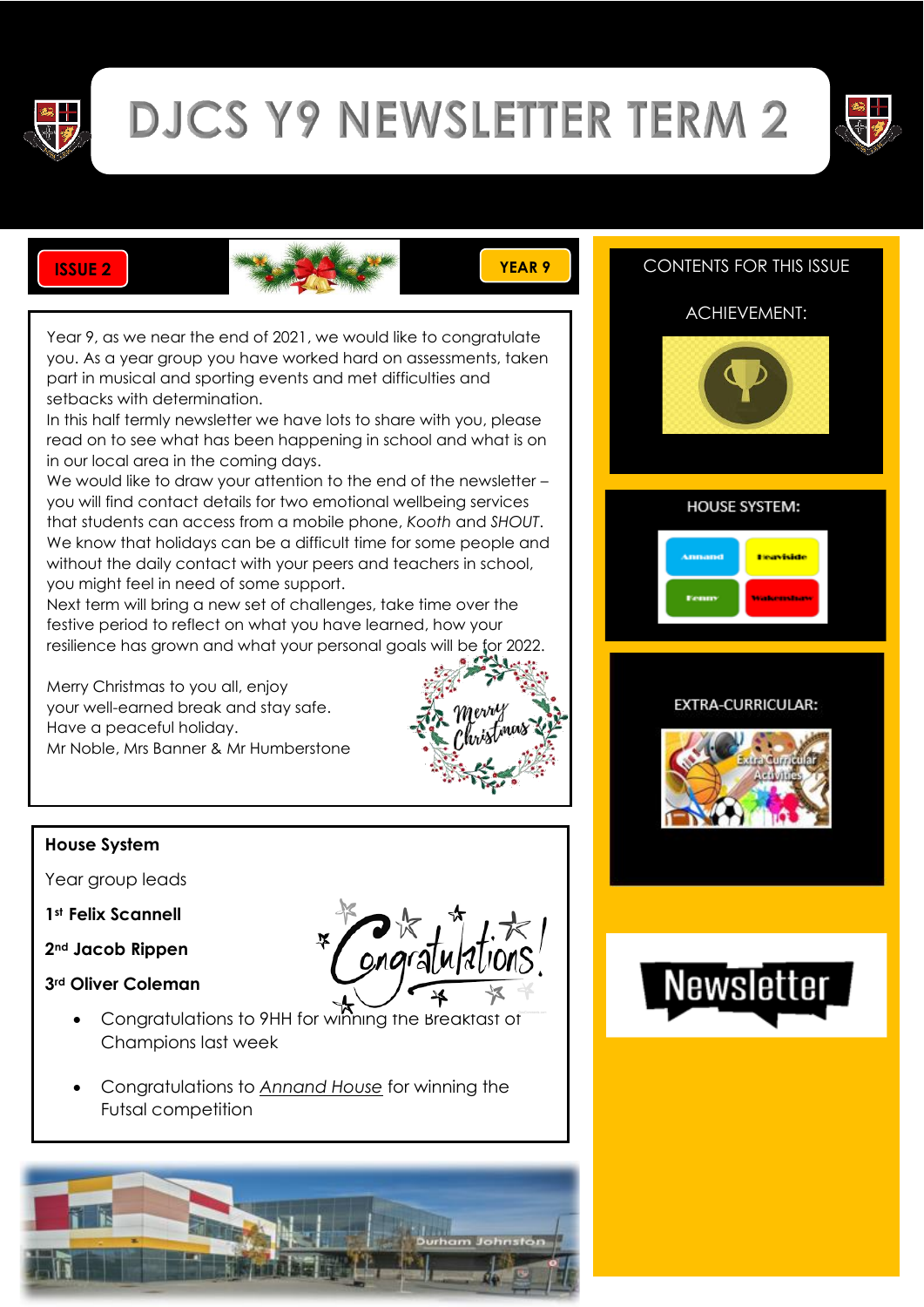

# **DJCS Y9 NEWSLETTER TERM 2**





Year 9, as we near the end of 2021, we would like to congratulate you. As a year group you have worked hard on assessments, taken part in musical and sporting events and met difficulties and setbacks with determination.

In this half termly newsletter we have lots to share with you, please read on to see what has been happening in school and what is on in our local area in the coming days.

We would like to draw your attention to the end of the newsletter you will find contact details for two emotional wellbeing services that students can access from a mobile phone, *Kooth* and *SHOUT*. We know that holidays can be a difficult time for some people and without the daily contact with your peers and teachers in school, you might feel in need of some support.

Next term will bring a new set of challenges, take time over the festive period to reflect on what you have learned, how your resilience has grown and what your personal goals will be for 2022.

Merry Christmas to you all, enjoy your well-earned break and stay safe. Have a peaceful holiday. Mr Noble, Mrs Banner & Mr Humberstone



#### **House System**

Year group leads

- **1st Felix Scannell**
- **2nd Jacob Rippen**
- **3rd Oliver Coleman**
	- Congratulations to 9HH for winning the Breakfast of Champions last week
	- Congratulations to *Annand House* for winning the Futsal competition



## **ISSUE 22 ISSUE 22 CONTENTS FOR THIS ISSUE**

#### ACHIEVEMENT:



#### **HOUSE SYSTEM:**

| Amnand | <b>Financiside</b> |
|--------|--------------------|
| Fenny  | Walkermanne        |

#### EXTRA-CURRICULAR:



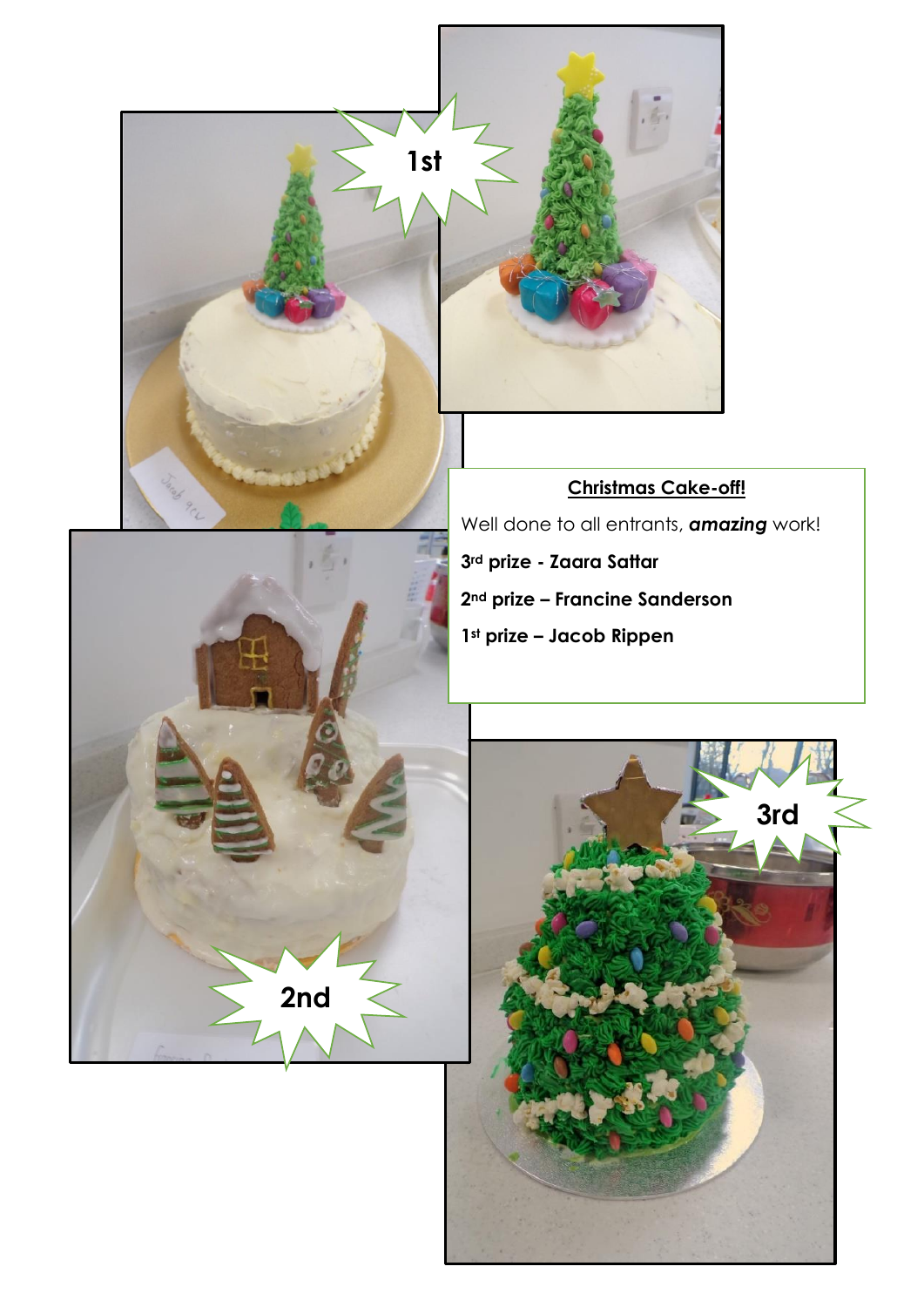

**2nd prize – Francine Sanderson**

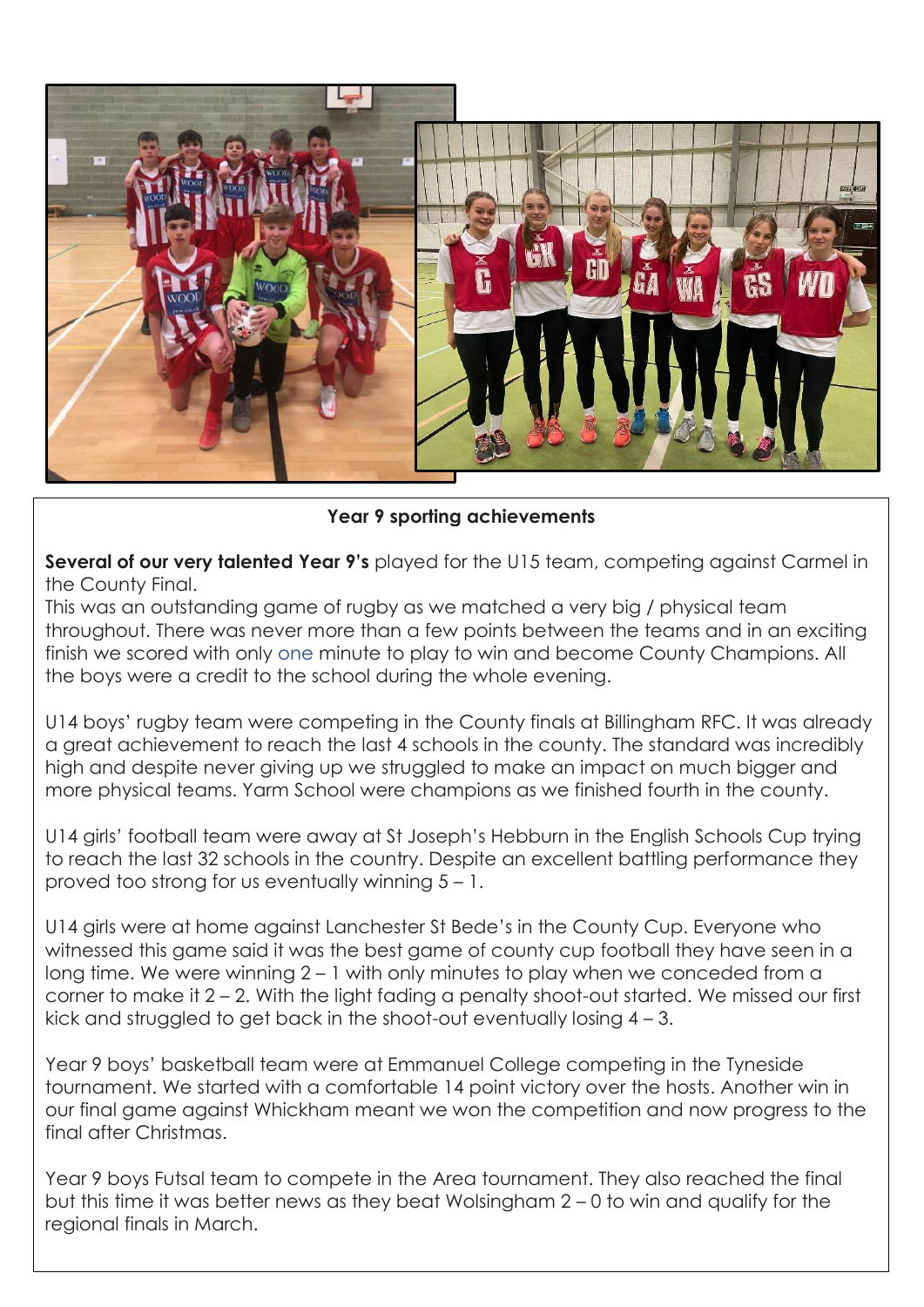

**Year 9 sporting achievements**

**Several of our very talented Year 9's** played for the U15 team, competing against Carmel in the County Final.

This was an outstanding game of rugby as we matched a very big / physical team throughout. There was never more than a few points between the teams and in an exciting finish we scored with only one minute to play to win and become County Champions. All the boys were a credit to the school during the whole evening.

U14 boys' rugby team were competing in the County finals at Billingham RFC. It was already a great achievement to reach the last 4 schools in the county. The standard was incredibly high and despite never giving up we struggled to make an impact on much bigger and more physical teams. Yarm School were champions as we finished fourth in the county.

U14 girls' football team were away at St Joseph's Hebburn in the English Schools Cup trying to reach the last 32 schools in the country. Despite an excellent battling performance they proved too strong for us eventually winning 5 – 1.

U14 girls were at home against Lanchester St Bede's in the County Cup. Everyone who witnessed this game said it was the best game of county cup football they have seen in a long time. We were winning 2 – 1 with only minutes to play when we conceded from a corner to make it 2 – 2. With the light fading a penalty shoot-out started. We missed our first kick and struggled to get back in the shoot-out eventually losing 4 – 3.

Year 9 boys' basketball team were at Emmanuel College competing in the Tyneside tournament. We started with a comfortable 14 point victory over the hosts. Another win in our final game against Whickham meant we won the competition and now progress to the final after Christmas.

Year 9 boys Futsal team to compete in the Area tournament. They also reached the final but this time it was better news as they beat Wolsingham 2 – 0 to win and qualify for the regional finals in March.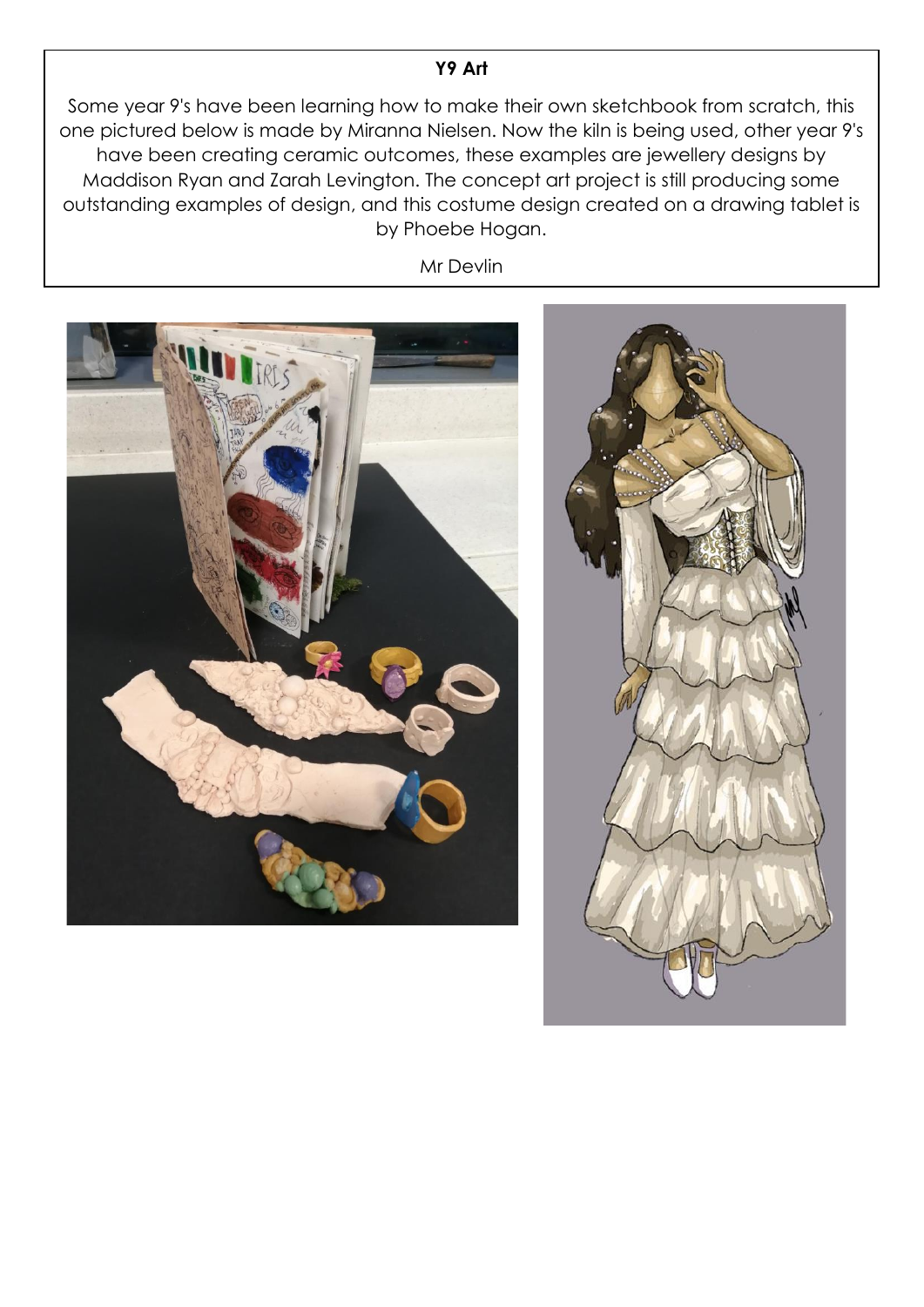### **Y9 Art**

Some year 9's have been learning how to make their own sketchbook from scratch, this one pictured below is made by Miranna Nielsen. Now the kiln is being used, other year 9's have been creating ceramic outcomes, these examples are jewellery designs by Maddison Ryan and Zarah Levington. The concept art project is still producing some outstanding examples of design, and this costume design created on a drawing tablet is by Phoebe Hogan.

Mr Devlin

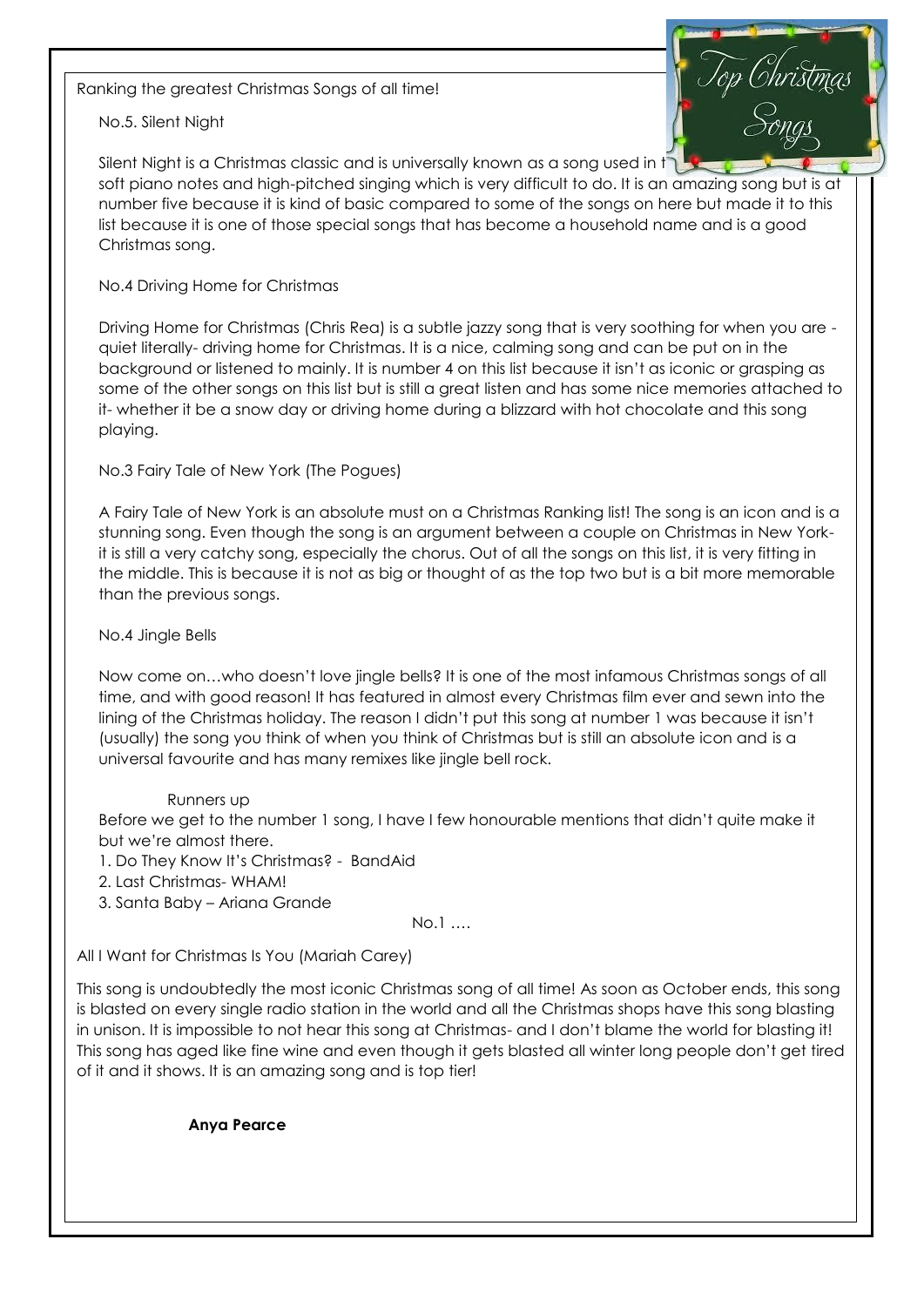Ranking the greatest Christmas Songs of all time!

No.5. Silent Night

Silent Night is a Christmas classic and is universally known as a song used in t soft piano notes and high-pitched singing which is very difficult to do. It is an amazing song but is at number five because it is kind of basic compared to some of the songs on here but made it to this list because it is one of those special songs that has become a household name and is a good Christmas song.

#### No.4 Driving Home for Christmas

Driving Home for Christmas (Chris Rea) is a subtle jazzy song that is very soothing for when you are quiet literally- driving home for Christmas. It is a nice, calming song and can be put on in the background or listened to mainly. It is number 4 on this list because it isn't as iconic or grasping as some of the other songs on this list but is still a great listen and has some nice memories attached to it- whether it be a snow day or driving home during a blizzard with hot chocolate and this song playing.

No.3 Fairy Tale of New York (The Pogues)

A Fairy Tale of New York is an absolute must on a Christmas Ranking list! The song is an icon and is a stunning song. Even though the song is an argument between a couple on Christmas in New Yorkit is still a very catchy song, especially the chorus. Out of all the songs on this list, it is very fitting in the middle. This is because it is not as big or thought of as the top two but is a bit more memorable than the previous songs.

#### No.4 Jingle Bells

Now come on…who doesn't love jingle bells? It is one of the most infamous Christmas songs of all time, and with good reason! It has featured in almost every Christmas film ever and sewn into the lining of the Christmas holiday. The reason I didn't put this song at number 1 was because it isn't (usually) the song you think of when you think of Christmas but is still an absolute icon and is a universal favourite and has many remixes like jingle bell rock.

#### Runners up

Before we get to the number 1 song, I have I few honourable mentions that didn't quite make it but we're almost there.

1. Do They Know It's Christmas? - BandAid

2. Last Christmas- WHAM!

3. Santa Baby – Ariana Grande

#### No.1 ….

All I Want for Christmas Is You (Mariah Carey)

This song is undoubtedly the most iconic Christmas song of all time! As soon as October ends, this song is blasted on every single radio station in the world and all the Christmas shops have this song blasting in unison. It is impossible to not hear this song at Christmas- and I don't blame the world for blasting it! This song has aged like fine wine and even though it gets blasted all winter long people don't get tired of it and it shows. It is an amazing song and is top tier!

**Anya Pearce**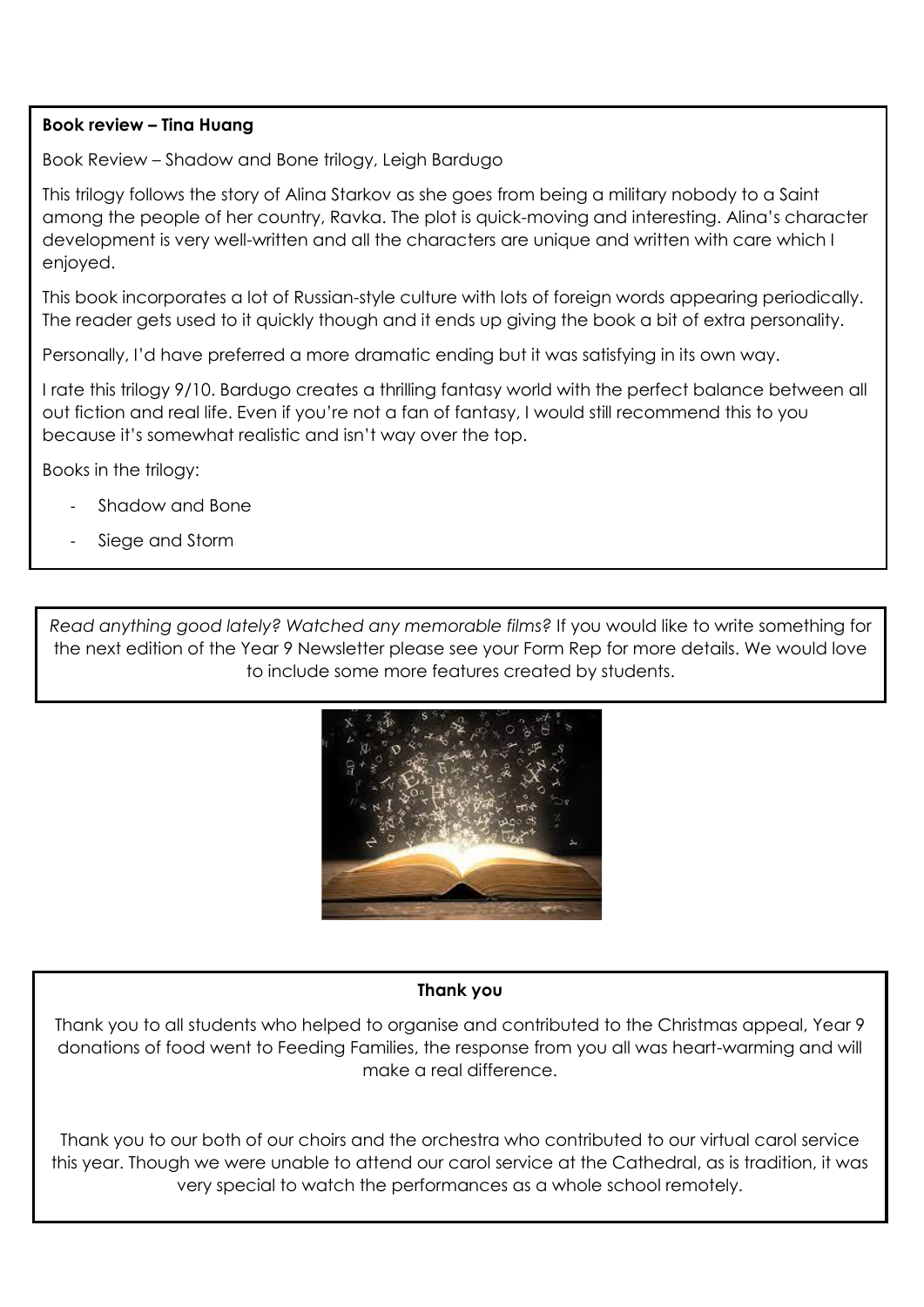#### **Book review – Tina Huang**

Book Review – Shadow and Bone trilogy, Leigh Bardugo

This trilogy follows the story of Alina Starkov as she goes from being a military nobody to a Saint among the people of her country, Ravka. The plot is quick-moving and interesting. Alina's character development is very well-written and all the characters are unique and written with care which I enjoyed.

This book incorporates a lot of Russian-style culture with lots of foreign words appearing periodically. The reader gets used to it quickly though and it ends up giving the book a bit of extra personality.

Personally, I'd have preferred a more dramatic ending but it was satisfying in its own way.

I rate this trilogy 9/10. Bardugo creates a thrilling fantasy world with the perfect balance between all out fiction and real life. Even if you're not a fan of fantasy, I would still recommend this to you because it's somewhat realistic and isn't way over the top.

Books in the trilogy:

- Shadow and Bone
- Siege and Storm

- Ruin and Rising

*Read anything good lately? Watched any memorable films?* If you would like to write something for the next edition of the Year 9 Newsletter please see your Form Rep for more details. We would love to include some more features created by students.

![](_page_5_Picture_10.jpeg)

#### **Thank you**

Thank you to all students who helped to organise and contributed to the Christmas appeal, Year 9 donations of food went to Feeding Families, the response from you all was heart-warming and will make a real difference.

Thank you to our both of our choirs and the orchestra who contributed to our virtual carol service this year. Though we were unable to attend our carol service at the Cathedral, as is tradition, it was very special to watch the performances as a whole school remotely.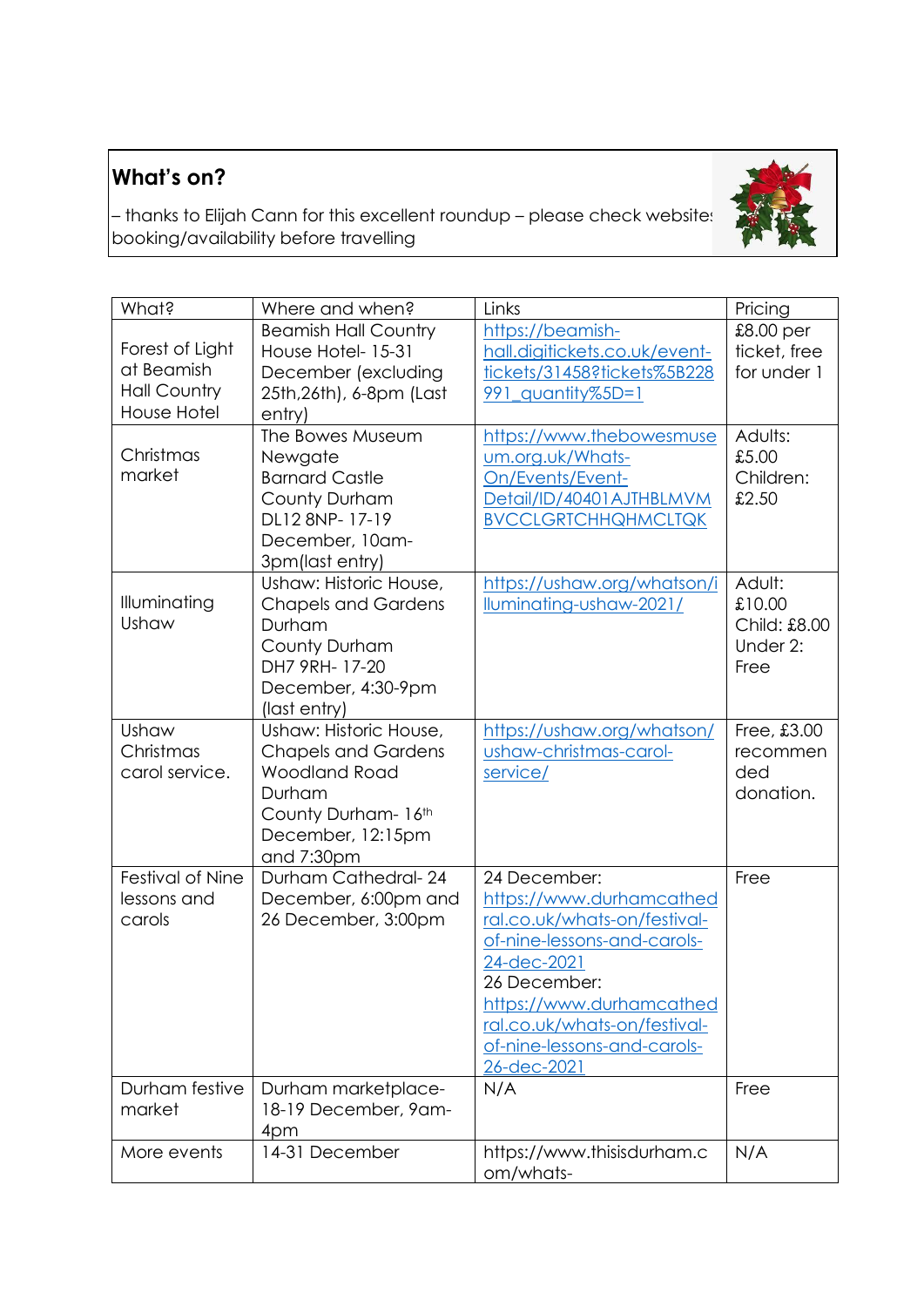# **What's on?**

– thanks to Elijah Cann for this excellent roundup – please check website:  $\Box$ booking/availability before travelling

![](_page_6_Picture_2.jpeg)

| What?                                                                      | Where and when?                                                                                                                                  | Links                                                                                                                                                                                                                                            | Pricing                                              |
|----------------------------------------------------------------------------|--------------------------------------------------------------------------------------------------------------------------------------------------|--------------------------------------------------------------------------------------------------------------------------------------------------------------------------------------------------------------------------------------------------|------------------------------------------------------|
| Forest of Light<br>at Beamish<br><b>Hall Country</b><br><b>House Hotel</b> | <b>Beamish Hall Country</b><br>House Hotel-15-31<br>December (excluding<br>25th, 26th), 6-8pm (Last<br>entry)                                    | https://beamish-<br>hall.digitickets.co.uk/event-<br>tickets/31458?tickets%5B228<br>991 quantity%5D=1                                                                                                                                            | $£8.00$ per<br>ticket, free<br>for under 1           |
| Christmas<br>market                                                        | The Bowes Museum<br>Newgate<br><b>Barnard Castle</b><br>County Durham<br>DL12 8NP-17-19<br>December, 10am-<br>3pm(last entry)                    | https://www.thebowesmuse<br>um.org.uk/Whats-<br>On/Events/Event-<br>Detail/ID/40401AJTHBLMVM<br><b>BVCCLGRTCHHQHMCLTQK</b>                                                                                                                       | Adults:<br>£5.00<br>Children:<br>£2.50               |
| Illuminating<br>Ushaw                                                      | Ushaw: Historic House,<br><b>Chapels and Gardens</b><br>Durham<br>County Durham<br>DH7 9RH- 17-20<br>December, 4:30-9pm<br>(last entry)          | https://ushaw.org/whatson/i<br>lluminating-ushaw-2021/                                                                                                                                                                                           | Adult:<br>£10.00<br>Child: £8.00<br>Under 2:<br>Free |
| Ushaw<br>Christmas<br>carol service.                                       | Ushaw: Historic House,<br><b>Chapels and Gardens</b><br><b>Woodland Road</b><br>Durham<br>County Durham- 16th<br>December, 12:15pm<br>and 7:30pm | https://ushaw.org/whatson/<br>ushaw-christmas-carol-<br>service/                                                                                                                                                                                 | Free, £3.00<br>recommen<br>ded<br>donation.          |
| Festival of Nine<br>lessons and<br>carols                                  | Durham Cathedral-24<br>December, 6:00pm and<br>26 December, 3:00pm                                                                               | 24 December:<br>https://www.durhamcathed<br>ral.co.uk/whats-on/festival-<br>of-nine-lessons-and-carols-<br>24-dec-2021<br>26 December:<br>https://www.durhamcathed<br>ral.co.uk/whats-on/festival-<br>of-nine-lessons-and-carols-<br>26-dec-2021 | Free                                                 |
| Durham festive<br>market                                                   | Durham marketplace-<br>18-19 December, 9am-<br>4pm                                                                                               | N/A                                                                                                                                                                                                                                              | Free                                                 |
| More events                                                                | 14-31 December                                                                                                                                   | https://www.thisisdurham.c<br>om/whats-                                                                                                                                                                                                          | N/A                                                  |